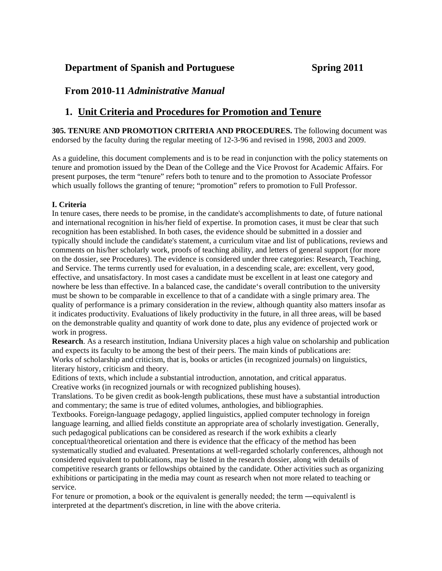## **Department of Spanish and Portuguese Spring 2011**

## **From 2010-11** *Administrative Manual*

# **1. Unit Criteria and Procedures for Promotion and Tenure**

**305. TENURE AND PROMOTION CRITERIA AND PROCEDURES.** The following document was endorsed by the faculty during the regular meeting of 12-3-96 and revised in 1998, 2003 and 2009.

As a guideline, this document complements and is to be read in conjunction with the policy statements on tenure and promotion issued by the Dean of the College and the Vice Provost for Academic Affairs. For present purposes, the term "tenure" refers both to tenure and to the promotion to Associate Professor which usually follows the granting of tenure; "promotion" refers to promotion to Full Professor.

## **I. Criteria**

In tenure cases, there needs to be promise, in the candidate's accomplishments to date, of future national and international recognition in his/her field of expertise. In promotion cases, it must be clear that such recognition has been established. In both cases, the evidence should be submitted in a dossier and typically should include the candidate's statement, a curriculum vitae and list of publications, reviews and comments on his/her scholarly work, proofs of teaching ability, and letters of general support (for more on the dossier, see Procedures). The evidence is considered under three categories: Research, Teaching, and Service. The terms currently used for evaluation, in a descending scale, are: excellent, very good, effective, and unsatisfactory. In most cases a candidate must be excellent in at least one category and nowhere be less than effective. In a balanced case, the candidate's overall contribution to the university must be shown to be comparable in excellence to that of a candidate with a single primary area. The quality of performance is a primary consideration in the review, although quantity also matters insofar as it indicates productivity. Evaluations of likely productivity in the future, in all three areas, will be based on the demonstrable quality and quantity of work done to date, plus any evidence of projected work or work in progress.

**Research**. As a research institution, Indiana University places a high value on scholarship and publication and expects its faculty to be among the best of their peers. The main kinds of publications are: Works of scholarship and criticism, that is, books or articles (in recognized journals) on linguistics, literary history, criticism and theory.

Editions of texts, which include a substantial introduction, annotation, and critical apparatus. Creative works (in recognized journals or with recognized publishing houses).

Translations. To be given credit as book-length publications, these must have a substantial introduction and commentary; the same is true of edited volumes, anthologies, and bibliographies.

Textbooks. Foreign-language pedagogy, applied linguistics, applied computer technology in foreign language learning, and allied fields constitute an appropriate area of scholarly investigation. Generally, such pedagogical publications can be considered as research if the work exhibits a clearly

conceptual/theoretical orientation and there is evidence that the efficacy of the method has been systematically studied and evaluated. Presentations at well-regarded scholarly conferences, although not considered equivalent to publications, may be listed in the research dossier, along with details of competitive research grants or fellowships obtained by the candidate. Other activities such as organizing exhibitions or participating in the media may count as research when not more related to teaching or service.

For tenure or promotion, a book or the equivalent is generally needed; the term —equivalent is interpreted at the department's discretion, in line with the above criteria.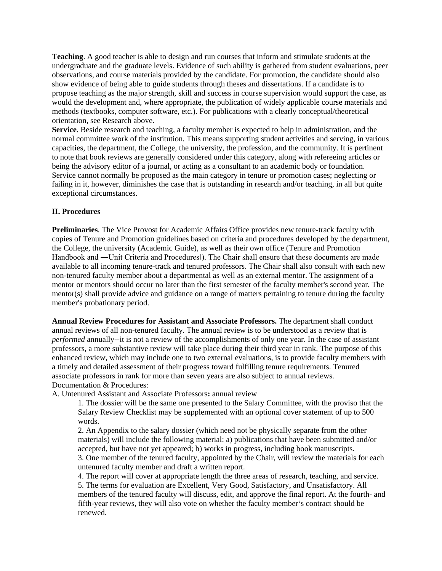**Teaching**. A good teacher is able to design and run courses that inform and stimulate students at the undergraduate and the graduate levels. Evidence of such ability is gathered from student evaluations, peer observations, and course materials provided by the candidate. For promotion, the candidate should also show evidence of being able to guide students through theses and dissertations. If a candidate is to propose teaching as the major strength, skill and success in course supervision would support the case, as would the development and, where appropriate, the publication of widely applicable course materials and methods (textbooks, computer software, etc.). For publications with a clearly conceptual/theoretical orientation, see Research above.

**Service**. Beside research and teaching, a faculty member is expected to help in administration, and the normal committee work of the institution. This means supporting student activities and serving, in various capacities, the department, the College, the university, the profession, and the community. It is pertinent to note that book reviews are generally considered under this category, along with refereeing articles or being the advisory editor of a journal, or acting as a consultant to an academic body or foundation. Service cannot normally be proposed as the main category in tenure or promotion cases; neglecting or failing in it, however, diminishes the case that is outstanding in research and/or teaching, in all but quite exceptional circumstances.

### **II. Procedures**

**Preliminaries**. The Vice Provost for Academic Affairs Office provides new tenure-track faculty with copies of Tenure and Promotion guidelines based on criteria and procedures developed by the department, the College, the university (Academic Guide), as well as their own office (Tenure and Promotion Handbook and ―Unit Criteria and Procedures‖). The Chair shall ensure that these documents are made available to all incoming tenure-track and tenured professors. The Chair shall also consult with each new non-tenured faculty member about a departmental as well as an external mentor. The assignment of a mentor or mentors should occur no later than the first semester of the faculty member's second year. The mentor(s) shall provide advice and guidance on a range of matters pertaining to tenure during the faculty member's probationary period.

**Annual Review Procedures for Assistant and Associate Professors.** The department shall conduct annual reviews of all non-tenured faculty. The annual review is to be understood as a review that is *performed* annually--it is not a review of the accomplishments of only one year. In the case of assistant professors, a more substantive review will take place during their third year in rank. The purpose of this enhanced review, which may include one to two external evaluations, is to provide faculty members with a timely and detailed assessment of their progress toward fulfilling tenure requirements. Tenured associate professors in rank for more than seven years are also subject to annual reviews. Documentation & Procedures:

A. Untenured Assistant and Associate Professors**:** annual review

1. The dossier will be the same one presented to the Salary Committee, with the proviso that the Salary Review Checklist may be supplemented with an optional cover statement of up to 500 words.

2. An Appendix to the salary dossier (which need not be physically separate from the other materials) will include the following material: a) publications that have been submitted and/or accepted, but have not yet appeared; b) works in progress, including book manuscripts. 3. One member of the tenured faculty, appointed by the Chair, will review the materials for each untenured faculty member and draft a written report.

4. The report will cover at appropriate length the three areas of research, teaching, and service. 5. The terms for evaluation are Excellent, Very Good, Satisfactory, and Unsatisfactory. All members of the tenured faculty will discuss, edit, and approve the final report. At the fourth- and fifth-year reviews, they will also vote on whether the faculty member's contract should be renewed.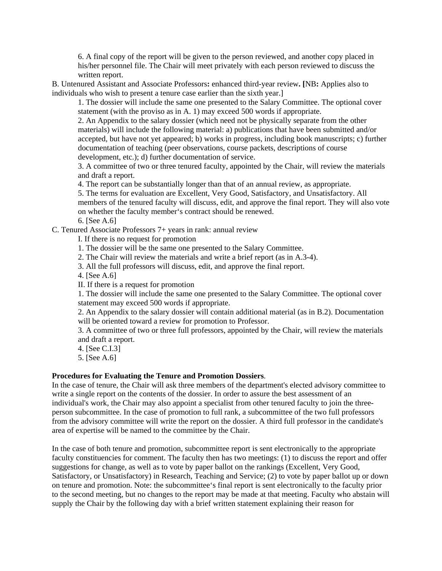6. A final copy of the report will be given to the person reviewed, and another copy placed in his/her personnel file. The Chair will meet privately with each person reviewed to discuss the written report.

B. Untenured Assistant and Associate Professors**:** enhanced third-year review**. [**NB**:** Applies also to individuals who wish to present a tenure case earlier than the sixth year.]

1. The dossier will include the same one presented to the Salary Committee. The optional cover statement (with the proviso as in A. 1) may exceed 500 words if appropriate.

2. An Appendix to the salary dossier (which need not be physically separate from the other materials) will include the following material: a) publications that have been submitted and/or accepted, but have not yet appeared; b) works in progress, including book manuscripts; c) further documentation of teaching (peer observations, course packets, descriptions of course development, etc.); d) further documentation of service.

3. A committee of two or three tenured faculty, appointed by the Chair, will review the materials and draft a report.

4. The report can be substantially longer than that of an annual review, as appropriate.

5. The terms for evaluation are Excellent, Very Good, Satisfactory, and Unsatisfactory. All members of the tenured faculty will discuss, edit, and approve the final report. They will also vote on whether the faculty member's contract should be renewed.

6. [See A.6]

C. Tenured Associate Professors 7+ years in rank: annual review

I. If there is no request for promotion

1. The dossier will be the same one presented to the Salary Committee.

2. The Chair will review the materials and write a brief report (as in A.3-4).

3. All the full professors will discuss, edit, and approve the final report.

4. [See A.6]

II. If there is a request for promotion

1. The dossier will include the same one presented to the Salary Committee. The optional cover statement may exceed 500 words if appropriate.

2. An Appendix to the salary dossier will contain additional material (as in B.2). Documentation will be oriented toward a review for promotion to Professor.

3. A committee of two or three full professors, appointed by the Chair, will review the materials and draft a report.

4. [See C.I.3]

5. [See A.6]

### **Procedures for Evaluating the Tenure and Promotion Dossiers**.

In the case of tenure, the Chair will ask three members of the department's elected advisory committee to write a single report on the contents of the dossier. In order to assure the best assessment of an individual's work, the Chair may also appoint a specialist from other tenured faculty to join the threeperson subcommittee. In the case of promotion to full rank, a subcommittee of the two full professors from the advisory committee will write the report on the dossier. A third full professor in the candidate's area of expertise will be named to the committee by the Chair.

In the case of both tenure and promotion, subcommittee report is sent electronically to the appropriate faculty constituencies for comment. The faculty then has two meetings: (1) to discuss the report and offer suggestions for change, as well as to vote by paper ballot on the rankings (Excellent, Very Good, Satisfactory, or Unsatisfactory) in Research, Teaching and Service; (2) to vote by paper ballot up or down on tenure and promotion. Note: the subcommittee's final report is sent electronically to the faculty prior to the second meeting, but no changes to the report may be made at that meeting. Faculty who abstain will supply the Chair by the following day with a brief written statement explaining their reason for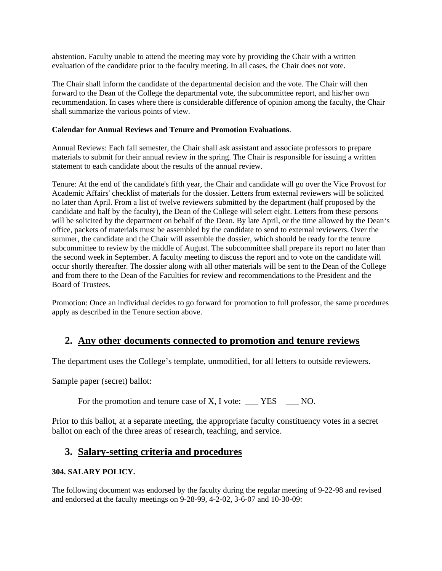abstention. Faculty unable to attend the meeting may vote by providing the Chair with a written evaluation of the candidate prior to the faculty meeting. In all cases, the Chair does not vote.

The Chair shall inform the candidate of the departmental decision and the vote. The Chair will then forward to the Dean of the College the departmental vote, the subcommittee report, and his/her own recommendation. In cases where there is considerable difference of opinion among the faculty, the Chair shall summarize the various points of view.

## **Calendar for Annual Reviews and Tenure and Promotion Evaluations**.

Annual Reviews: Each fall semester, the Chair shall ask assistant and associate professors to prepare materials to submit for their annual review in the spring. The Chair is responsible for issuing a written statement to each candidate about the results of the annual review.

Tenure: At the end of the candidate's fifth year, the Chair and candidate will go over the Vice Provost for Academic Affairs' checklist of materials for the dossier. Letters from external reviewers will be solicited no later than April. From a list of twelve reviewers submitted by the department (half proposed by the candidate and half by the faculty), the Dean of the College will select eight. Letters from these persons will be solicited by the department on behalf of the Dean. By late April, or the time allowed by the Dean's office, packets of materials must be assembled by the candidate to send to external reviewers. Over the summer, the candidate and the Chair will assemble the dossier, which should be ready for the tenure subcommittee to review by the middle of August. The subcommittee shall prepare its report no later than the second week in September. A faculty meeting to discuss the report and to vote on the candidate will occur shortly thereafter. The dossier along with all other materials will be sent to the Dean of the College and from there to the Dean of the Faculties for review and recommendations to the President and the Board of Trustees.

Promotion: Once an individual decides to go forward for promotion to full professor, the same procedures apply as described in the Tenure section above.

# **2. Any other documents connected to promotion and tenure reviews**

The department uses the College's template, unmodified, for all letters to outside reviewers.

Sample paper (secret) ballot:

For the promotion and tenure case of X, I vote: \_\_\_ YES \_\_\_ NO.

Prior to this ballot, at a separate meeting, the appropriate faculty constituency votes in a secret ballot on each of the three areas of research, teaching, and service.

## **3. Salary-setting criteria and procedures**

## **304. SALARY POLICY.**

The following document was endorsed by the faculty during the regular meeting of 9-22-98 and revised and endorsed at the faculty meetings on 9-28-99, 4-2-02, 3-6-07 and 10-30-09: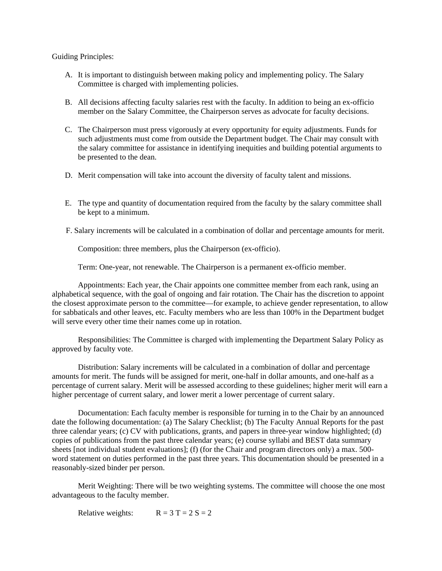Guiding Principles:

- A. It is important to distinguish between making policy and implementing policy. The Salary Committee is charged with implementing policies.
- B. All decisions affecting faculty salaries rest with the faculty. In addition to being an ex-officio member on the Salary Committee, the Chairperson serves as advocate for faculty decisions.
- C. The Chairperson must press vigorously at every opportunity for equity adjustments. Funds for such adjustments must come from outside the Department budget. The Chair may consult with the salary committee for assistance in identifying inequities and building potential arguments to be presented to the dean.
- D. Merit compensation will take into account the diversity of faculty talent and missions.
- E. The type and quantity of documentation required from the faculty by the salary committee shall be kept to a minimum.
- F. Salary increments will be calculated in a combination of dollar and percentage amounts for merit.

Composition: three members, plus the Chairperson (ex-officio).

Term: One-year, not renewable. The Chairperson is a permanent ex-officio member.

Appointments: Each year, the Chair appoints one committee member from each rank, using an alphabetical sequence, with the goal of ongoing and fair rotation. The Chair has the discretion to appoint the closest approximate person to the committee—for example, to achieve gender representation, to allow for sabbaticals and other leaves, etc. Faculty members who are less than 100% in the Department budget will serve every other time their names come up in rotation.

Responsibilities: The Committee is charged with implementing the Department Salary Policy as approved by faculty vote.

Distribution: Salary increments will be calculated in a combination of dollar and percentage amounts for merit. The funds will be assigned for merit, one-half in dollar amounts, and one-half as a percentage of current salary. Merit will be assessed according to these guidelines; higher merit will earn a higher percentage of current salary, and lower merit a lower percentage of current salary.

Documentation: Each faculty member is responsible for turning in to the Chair by an announced date the following documentation: (a) The Salary Checklist; (b) The Faculty Annual Reports for the past three calendar years; (c) CV with publications, grants, and papers in three-year window highlighted; (d) copies of publications from the past three calendar years; (e) course syllabi and BEST data summary sheets [not individual student evaluations]; (f) (for the Chair and program directors only) a max. 500 word statement on duties performed in the past three years. This documentation should be presented in a reasonably-sized binder per person.

Merit Weighting: There will be two weighting systems. The committee will choose the one most advantageous to the faculty member.

Relative weights:  $R = 3 T = 2 S = 2$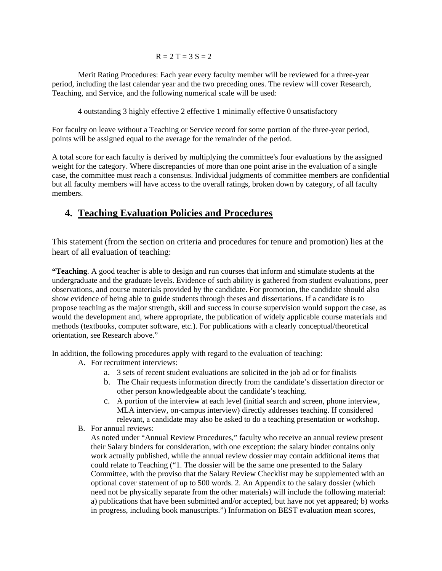$R = 2 T = 3 S = 2$ 

Merit Rating Procedures: Each year every faculty member will be reviewed for a three-year period, including the last calendar year and the two preceding ones. The review will cover Research, Teaching, and Service, and the following numerical scale will be used:

4 outstanding 3 highly effective 2 effective 1 minimally effective 0 unsatisfactory

For faculty on leave without a Teaching or Service record for some portion of the three-year period, points will be assigned equal to the average for the remainder of the period.

A total score for each faculty is derived by multiplying the committee's four evaluations by the assigned weight for the category. Where discrepancies of more than one point arise in the evaluation of a single case, the committee must reach a consensus. Individual judgments of committee members are confidential but all faculty members will have access to the overall ratings, broken down by category, of all faculty members.

# **4. Teaching Evaluation Policies and Procedures**

This statement (from the section on criteria and procedures for tenure and promotion) lies at the heart of all evaluation of teaching:

**"Teaching**. A good teacher is able to design and run courses that inform and stimulate students at the undergraduate and the graduate levels. Evidence of such ability is gathered from student evaluations, peer observations, and course materials provided by the candidate. For promotion, the candidate should also show evidence of being able to guide students through theses and dissertations. If a candidate is to propose teaching as the major strength, skill and success in course supervision would support the case, as would the development and, where appropriate, the publication of widely applicable course materials and methods (textbooks, computer software, etc.). For publications with a clearly conceptual/theoretical orientation, see Research above."

In addition, the following procedures apply with regard to the evaluation of teaching:

- A. For recruitment interviews:
	- a. 3 sets of recent student evaluations are solicited in the job ad or for finalists
	- b. The Chair requests information directly from the candidate's dissertation director or other person knowledgeable about the candidate's teaching.
	- c. A portion of the interview at each level (initial search and screen, phone interview, MLA interview, on-campus interview) directly addresses teaching. If considered relevant, a candidate may also be asked to do a teaching presentation or workshop.
- B. For annual reviews:

As noted under "Annual Review Procedures," faculty who receive an annual review present their Salary binders for consideration, with one exception: the salary binder contains only work actually published, while the annual review dossier may contain additional items that could relate to Teaching ("1. The dossier will be the same one presented to the Salary Committee, with the proviso that the Salary Review Checklist may be supplemented with an optional cover statement of up to 500 words. 2. An Appendix to the salary dossier (which need not be physically separate from the other materials) will include the following material: a) publications that have been submitted and/or accepted, but have not yet appeared; b) works in progress, including book manuscripts.") Information on BEST evaluation mean scores,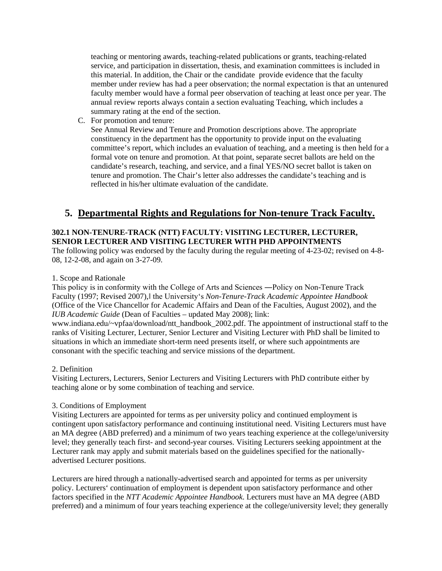teaching or mentoring awards, teaching-related publications or grants, teaching-related service, and participation in dissertation, thesis, and examination committees is included in this material. In addition, the Chair or the candidate provide evidence that the faculty member under review has had a peer observation; the normal expectation is that an untenured faculty member would have a formal peer observation of teaching at least once per year. The annual review reports always contain a section evaluating Teaching, which includes a summary rating at the end of the section.

C. For promotion and tenure:

See Annual Review and Tenure and Promotion descriptions above. The appropriate constituency in the department has the opportunity to provide input on the evaluating committee's report, which includes an evaluation of teaching, and a meeting is then held for a formal vote on tenure and promotion. At that point, separate secret ballots are held on the candidate's research, teaching, and service, and a final YES/NO secret ballot is taken on tenure and promotion. The Chair's letter also addresses the candidate's teaching and is reflected in his/her ultimate evaluation of the candidate.

# **5. Departmental Rights and Regulations for Non-tenure Track Faculty.**

## **302.1 NON-TENURE-TRACK (NTT) FACULTY: VISITING LECTURER, LECTURER, SENIOR LECTURER AND VISITING LECTURER WITH PHD APPOINTMENTS**

The following policy was endorsed by the faculty during the regular meeting of 4-23-02; revised on 4-8- 08, 12-2-08, and again on 3-27-09.

## 1. Scope and Rationale

This policy is in conformity with the College of Arts and Sciences ―Policy on Non-Tenure Track Faculty (1997; Revised 2007),‖ the University's *Non-Tenure-Track Academic Appointee Handbook*  (Office of the Vice Chancellor for Academic Affairs and Dean of the Faculties, August 2002), and the *IUB Academic Guide* (Dean of Faculties – updated May 2008); link:

www.indiana.edu/~vpfaa/download/ntt\_handbook\_2002.pdf. The appointment of instructional staff to the ranks of Visiting Lecturer, Lecturer, Senior Lecturer and Visiting Lecturer with PhD shall be limited to situations in which an immediate short-term need presents itself, or where such appointments are consonant with the specific teaching and service missions of the department.

## 2. Definition

Visiting Lecturers, Lecturers, Senior Lecturers and Visiting Lecturers with PhD contribute either by teaching alone or by some combination of teaching and service.

## 3. Conditions of Employment

Visiting Lecturers are appointed for terms as per university policy and continued employment is contingent upon satisfactory performance and continuing institutional need. Visiting Lecturers must have an MA degree (ABD preferred) and a minimum of two years teaching experience at the college/university level; they generally teach first- and second-year courses. Visiting Lecturers seeking appointment at the Lecturer rank may apply and submit materials based on the guidelines specified for the nationallyadvertised Lecturer positions.

Lecturers are hired through a nationally-advertised search and appointed for terms as per university policy. Lecturers' continuation of employment is dependent upon satisfactory performance and other factors specified in the *NTT Academic Appointee Handbook*. Lecturers must have an MA degree (ABD preferred) and a minimum of four years teaching experience at the college/university level; they generally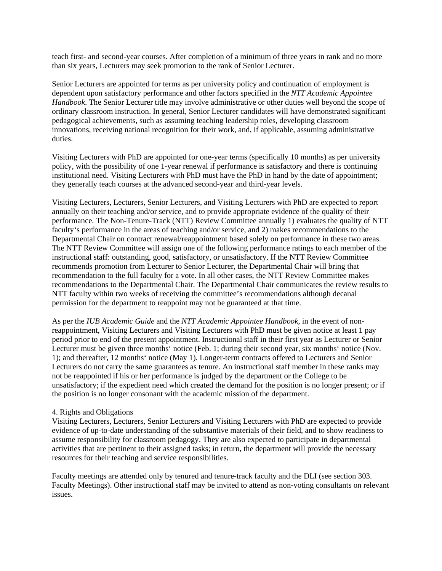teach first- and second-year courses. After completion of a minimum of three years in rank and no more than six years, Lecturers may seek promotion to the rank of Senior Lecturer.

Senior Lecturers are appointed for terms as per university policy and continuation of employment is dependent upon satisfactory performance and other factors specified in the *NTT Academic Appointee Handbook*. The Senior Lecturer title may involve administrative or other duties well beyond the scope of ordinary classroom instruction. In general, Senior Lecturer candidates will have demonstrated significant pedagogical achievements, such as assuming teaching leadership roles, developing classroom innovations, receiving national recognition for their work, and, if applicable, assuming administrative duties.

Visiting Lecturers with PhD are appointed for one-year terms (specifically 10 months) as per university policy, with the possibility of one 1-year renewal if performance is satisfactory and there is continuing institutional need. Visiting Lecturers with PhD must have the PhD in hand by the date of appointment; they generally teach courses at the advanced second-year and third-year levels.

Visiting Lecturers, Lecturers, Senior Lecturers, and Visiting Lecturers with PhD are expected to report annually on their teaching and/or service, and to provide appropriate evidence of the quality of their performance. The Non-Tenure-Track (NTT) Review Committee annually 1) evaluates the quality of NTT faculty's performance in the areas of teaching and/or service, and 2) makes recommendations to the Departmental Chair on contract renewal/reappointment based solely on performance in these two areas. The NTT Review Committee will assign one of the following performance ratings to each member of the instructional staff: outstanding, good, satisfactory, or unsatisfactory. If the NTT Review Committee recommends promotion from Lecturer to Senior Lecturer, the Departmental Chair will bring that recommendation to the full faculty for a vote. In all other cases, the NTT Review Committee makes recommendations to the Departmental Chair. The Departmental Chair communicates the review results to NTT faculty within two weeks of receiving the committee's recommendations although decanal permission for the department to reappoint may not be guaranteed at that time.

As per the *IUB Academic Guide* and the *NTT Academic Appointee Handbook*, in the event of nonreappointment, Visiting Lecturers and Visiting Lecturers with PhD must be given notice at least 1 pay period prior to end of the present appointment. Instructional staff in their first year as Lecturer or Senior Lecturer must be given three months' notice (Feb. 1; during their second year, six months' notice (Nov. 1); and thereafter, 12 months' notice (May 1). Longer-term contracts offered to Lecturers and Senior Lecturers do not carry the same guarantees as tenure. An instructional staff member in these ranks may not be reappointed if his or her performance is judged by the department or the College to be unsatisfactory; if the expedient need which created the demand for the position is no longer present; or if the position is no longer consonant with the academic mission of the department.

#### 4. Rights and Obligations

Visiting Lecturers, Lecturers, Senior Lecturers and Visiting Lecturers with PhD are expected to provide evidence of up-to-date understanding of the substantive materials of their field, and to show readiness to assume responsibility for classroom pedagogy. They are also expected to participate in departmental activities that are pertinent to their assigned tasks; in return, the department will provide the necessary resources for their teaching and service responsibilities.

Faculty meetings are attended only by tenured and tenure-track faculty and the DLI (see section 303. Faculty Meetings). Other instructional staff may be invited to attend as non-voting consultants on relevant issues.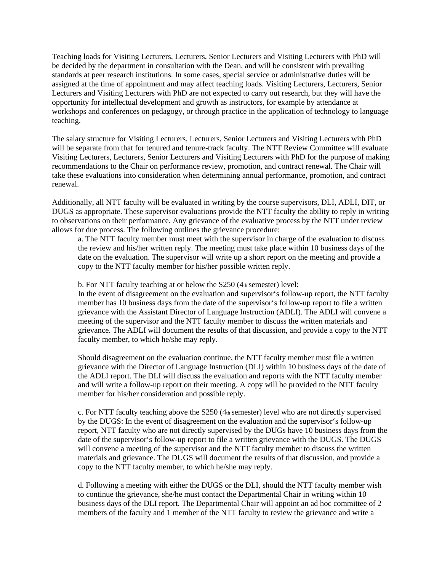Teaching loads for Visiting Lecturers, Lecturers, Senior Lecturers and Visiting Lecturers with PhD will be decided by the department in consultation with the Dean, and will be consistent with prevailing standards at peer research institutions. In some cases, special service or administrative duties will be assigned at the time of appointment and may affect teaching loads. Visiting Lecturers, Lecturers, Senior Lecturers and Visiting Lecturers with PhD are not expected to carry out research, but they will have the opportunity for intellectual development and growth as instructors, for example by attendance at workshops and conferences on pedagogy, or through practice in the application of technology to language teaching.

The salary structure for Visiting Lecturers, Lecturers, Senior Lecturers and Visiting Lecturers with PhD will be separate from that for tenured and tenure-track faculty. The NTT Review Committee will evaluate Visiting Lecturers, Lecturers, Senior Lecturers and Visiting Lecturers with PhD for the purpose of making recommendations to the Chair on performance review, promotion, and contract renewal. The Chair will take these evaluations into consideration when determining annual performance, promotion, and contract renewal.

Additionally, all NTT faculty will be evaluated in writing by the course supervisors, DLI, ADLI, DIT, or DUGS as appropriate. These supervisor evaluations provide the NTT faculty the ability to reply in writing to observations on their performance. Any grievance of the evaluative process by the NTT under review allows for due process. The following outlines the grievance procedure:

a. The NTT faculty member must meet with the supervisor in charge of the evaluation to discuss the review and his/her written reply. The meeting must take place within 10 business days of the date on the evaluation. The supervisor will write up a short report on the meeting and provide a copy to the NTT faculty member for his/her possible written reply.

b. For NTT faculty teaching at or below the  $S250$  (4th semester) level:

In the event of disagreement on the evaluation and supervisor's follow-up report, the NTT faculty member has 10 business days from the date of the supervisor's follow-up report to file a written grievance with the Assistant Director of Language Instruction (ADLI). The ADLI will convene a meeting of the supervisor and the NTT faculty member to discuss the written materials and grievance. The ADLI will document the results of that discussion, and provide a copy to the NTT faculty member, to which he/she may reply.

Should disagreement on the evaluation continue, the NTT faculty member must file a written grievance with the Director of Language Instruction (DLI) within 10 business days of the date of the ADLI report. The DLI will discuss the evaluation and reports with the NTT faculty member and will write a follow-up report on their meeting. A copy will be provided to the NTT faculty member for his/her consideration and possible reply.

c. For NTT faculty teaching above the S250 (4th semester) level who are not directly supervised by the DUGS: In the event of disagreement on the evaluation and the supervisor's follow-up report, NTT faculty who are not directly supervised by the DUGs have 10 business days from the date of the supervisor's follow-up report to file a written grievance with the DUGS. The DUGS will convene a meeting of the supervisor and the NTT faculty member to discuss the written materials and grievance. The DUGS will document the results of that discussion, and provide a copy to the NTT faculty member, to which he/she may reply.

d. Following a meeting with either the DUGS or the DLI, should the NTT faculty member wish to continue the grievance, she/he must contact the Departmental Chair in writing within 10 business days of the DLI report. The Departmental Chair will appoint an ad hoc committee of 2 members of the faculty and 1 member of the NTT faculty to review the grievance and write a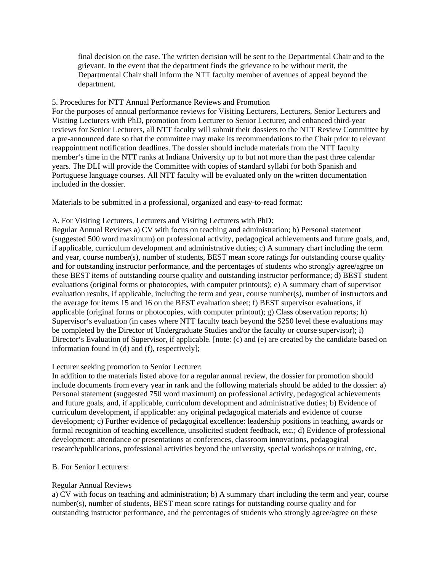final decision on the case. The written decision will be sent to the Departmental Chair and to the grievant. In the event that the department finds the grievance to be without merit, the Departmental Chair shall inform the NTT faculty member of avenues of appeal beyond the department.

### 5. Procedures for NTT Annual Performance Reviews and Promotion

For the purposes of annual performance reviews for Visiting Lecturers, Lecturers, Senior Lecturers and Visiting Lecturers with PhD, promotion from Lecturer to Senior Lecturer, and enhanced third-year reviews for Senior Lecturers, all NTT faculty will submit their dossiers to the NTT Review Committee by a pre-announced date so that the committee may make its recommendations to the Chair prior to relevant reappointment notification deadlines. The dossier should include materials from the NTT faculty member's time in the NTT ranks at Indiana University up to but not more than the past three calendar years. The DLI will provide the Committee with copies of standard syllabi for both Spanish and Portuguese language courses. All NTT faculty will be evaluated only on the written documentation included in the dossier.

Materials to be submitted in a professional, organized and easy-to-read format:

### A. For Visiting Lecturers, Lecturers and Visiting Lecturers with PhD:

Regular Annual Reviews a) CV with focus on teaching and administration; b) Personal statement (suggested 500 word maximum) on professional activity, pedagogical achievements and future goals, and, if applicable, curriculum development and administrative duties; c) A summary chart including the term and year, course number(s), number of students, BEST mean score ratings for outstanding course quality and for outstanding instructor performance, and the percentages of students who strongly agree/agree on these BEST items of outstanding course quality and outstanding instructor performance; d) BEST student evaluations (original forms or photocopies, with computer printouts); e) A summary chart of supervisor evaluation results, if applicable, including the term and year, course number(s), number of instructors and the average for items 15 and 16 on the BEST evaluation sheet; f) BEST supervisor evaluations, if applicable (original forms or photocopies, with computer printout); g) Class observation reports; h) Supervisor's evaluation (in cases where NTT faculty teach beyond the S250 level these evaluations may be completed by the Director of Undergraduate Studies and/or the faculty or course supervisor); i) Director's Evaluation of Supervisor, if applicable. [note: (c) and (e) are created by the candidate based on information found in (d) and (f), respectively];

## Lecturer seeking promotion to Senior Lecturer:

In addition to the materials listed above for a regular annual review, the dossier for promotion should include documents from every year in rank and the following materials should be added to the dossier: a) Personal statement (suggested 750 word maximum) on professional activity, pedagogical achievements and future goals, and, if applicable, curriculum development and administrative duties; b) Evidence of curriculum development, if applicable: any original pedagogical materials and evidence of course development; c) Further evidence of pedagogical excellence: leadership positions in teaching, awards or formal recognition of teaching excellence, unsolicited student feedback, etc.; d) Evidence of professional development: attendance or presentations at conferences, classroom innovations, pedagogical research/publications, professional activities beyond the university, special workshops or training, etc.

#### B. For Senior Lecturers:

## Regular Annual Reviews

a) CV with focus on teaching and administration; b) A summary chart including the term and year, course number(s), number of students, BEST mean score ratings for outstanding course quality and for outstanding instructor performance, and the percentages of students who strongly agree/agree on these